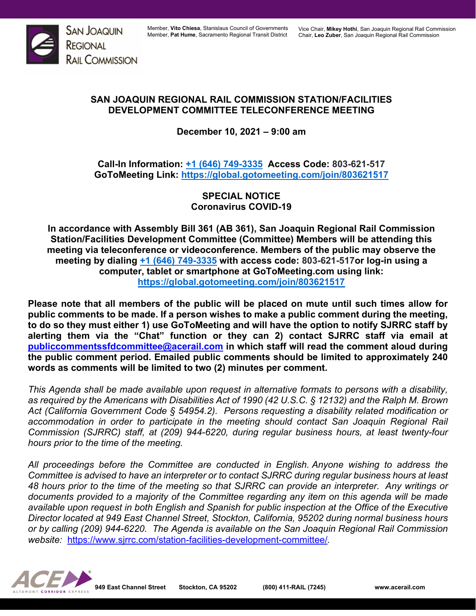

## **SAN JOAQUIN REGIONAL RAIL COMMISSION STATION/FACILITIES DEVELOPMENT COMMITTEE TELECONFERENCE MEETING**

**December 10, 2021 – 9:00 am**

**Call-In Information: [+1 \(646\) 749-3335](tel:+16467493335,,810666973) Access Code: 803-621-517 GoToMeeting Link:<https://global.gotomeeting.com/join/803621517>**

> **SPECIAL NOTICE Coronavirus COVID-19**

**In accordance with Assembly Bill 361 (AB 361), San Joaquin Regional Rail Commission Station/Facilities Development Committee (Committee) Members will be attending this meeting via teleconference or videoconference. Members of the public may observe the meeting by dialing [+1 \(646\) 749-3335](tel:+16467493335,,810666973) with access code: 803-621-517or log-in using a computer, tablet or smartphone at GoToMeeting.com using link: <https://global.gotomeeting.com/join/803621517>**

**Please note that all members of the public will be placed on mute until such times allow for public comments to be made. If a person wishes to make a public comment during the meeting, to do so they must either 1) use GoToMeeting and will have the option to notify SJRRC staff by alerting them via the "Chat" function or they can 2) contact SJRRC staff via email at [publiccommentssfdcommittee@acerail.com](mailto:publiccommentssfdcommittee@acerail.com) in which staff will read the comment aloud during the public comment period. Emailed public comments should be limited to approximately 240 words as comments will be limited to two (2) minutes per comment.**

*This Agenda shall be made available upon request in alternative formats to persons with a disability, as required by the Americans with Disabilities Act of 1990 (42 U.S.C. § 12132) and the Ralph M. Brown Act (California Government Code § 54954.2). Persons requesting a disability related modification or accommodation in order to participate in the meeting should contact San Joaquin Regional Rail Commission (SJRRC) staff, at (209) 944-6220, during regular business hours, at least twenty-four hours prior to the time of the meeting.*

*All proceedings before the Committee are conducted in English. Anyone wishing to address the Committee is advised to have an interpreter or to contact SJRRC during regular business hours at least 48 hours prior to the time of the meeting so that SJRRC can provide an interpreter. Any writings or documents provided to a majority of the Committee regarding any item on this agenda will be made available upon request in both English and Spanish for public inspection at the Office of the Executive Director located at 949 East Channel Street, Stockton, California, 95202 during normal business hours or by calling (209) 944-6220. The Agenda is available on the San Joaquin Regional Rail Commission website:* <https://www.sjrrc.com/station-facilities-development-committee/>*.* 

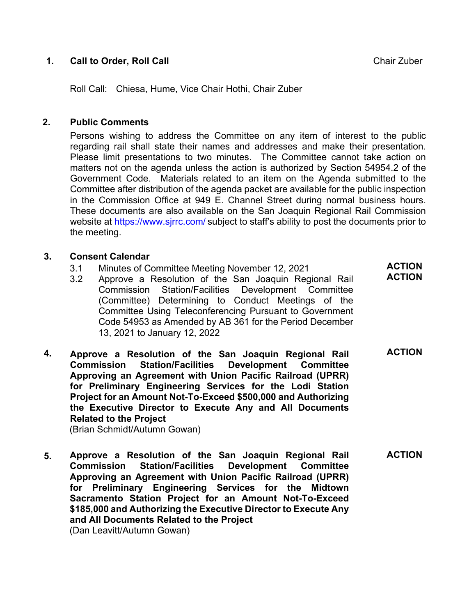### **1. Call to Order, Roll Call** Call **Chair Zuber** Chair Zuber

**ACTION ACTION**

Roll Call: Chiesa, Hume, Vice Chair Hothi, Chair Zuber

#### **2. Public Comments**

Persons wishing to address the Committee on any item of interest to the public regarding rail shall state their names and addresses and make their presentation. Please limit presentations to two minutes. The Committee cannot take action on matters not on the agenda unless the action is authorized by Section 54954.2 of the Government Code. Materials related to an item on the Agenda submitted to the Committee after distribution of the agenda packet are available for the public inspection in the Commission Office at 949 E. Channel Street during normal business hours. These documents are also available on the San Joaquin Regional Rail Commission website at<https://www.sjrrc.com/> subject to staff's ability to post the documents prior to the meeting.

#### **3. Consent Calendar**

- 3.1 Minutes of Committee Meeting November 12, 2021
- 3.2 Approve a Resolution of the San Joaquin Regional Rail Commission Station/Facilities Development Committee (Committee) Determining to Conduct Meetings of the Committee Using Teleconferencing Pursuant to Government Code 54953 as Amended by AB 361 for the Period December 13, 2021 to January 12, 2022
- **4. Approve a Resolution of the San Joaquin Regional Rail Commission Station/Facilities Development Committee Approving an Agreement with Union Pacific Railroad (UPRR) for Preliminary Engineering Services for the Lodi Station Project for an Amount Not-To-Exceed \$500,000 and Authorizing the Executive Director to Execute Any and All Documents Related to the Project ACTION**

(Brian Schmidt/Autumn Gowan)

**5. Approve a Resolution of the San Joaquin Regional Rail Commission Station/Facilities Development Committee Approving an Agreement with Union Pacific Railroad (UPRR) for Preliminary Engineering Services for the Midtown Sacramento Station Project for an Amount Not-To-Exceed \$185,000 and Authorizing the Executive Director to Execute Any and All Documents Related to the Project ACTION**

(Dan Leavitt/Autumn Gowan)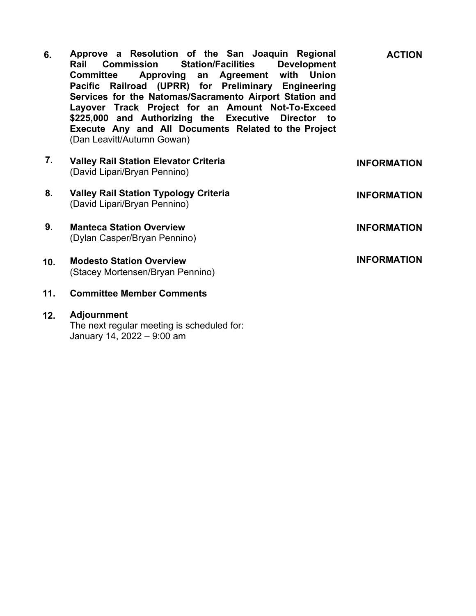- **6. Approve a Resolution of the San Joaquin Regional Rail Commission Station/Facilities Development Committee Approving an Agreement with Union**  Pacific Railroad (UPRR) for Preliminary Engineering **Services for the Natomas/Sacramento Airport Station and Layover Track Project for an Amount Not-To-Exceed \$225,000 and Authorizing the Executive Director to Execute Any and All Documents Related to the Project**  (Dan Leavitt/Autumn Gowan) **ACTION**
- **7. 8. 9. 10. 11. 12. Valley Rail Station Elevator Criteria**  (David Lipari/Bryan Pennino) **Valley Rail Station Typology Criteria**  (David Lipari/Bryan Pennino) **Manteca Station Overview**  (Dylan Casper/Bryan Pennino) **Modesto Station Overview**  (Stacey Mortensen/Bryan Pennino) **Committee Member Comments INFORMATION INFORMATION INFORMATION INFORMATION**

**Adjournment**  The next regular meeting is scheduled for: January 14, 2022 – 9:00 am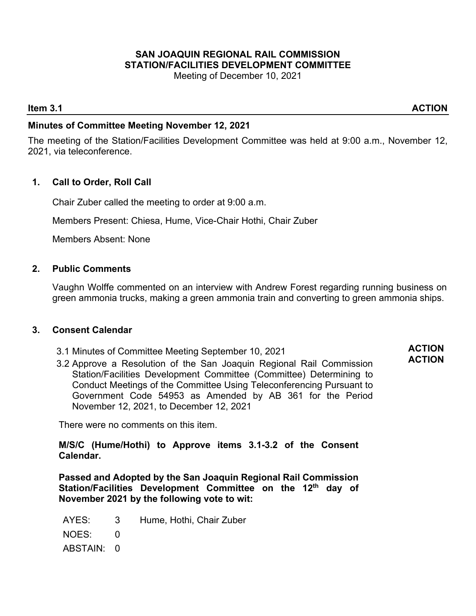Meeting of December 10, 2021

### **Item 3.1 ACTION**

#### **Minutes of Committee Meeting November 12, 2021**

The meeting of the Station/Facilities Development Committee was held at 9:00 a.m., November 12, 2021, via teleconference.

#### **1. Call to Order, Roll Call**

Chair Zuber called the meeting to order at 9:00 a.m.

Members Present: Chiesa, Hume, Vice-Chair Hothi, Chair Zuber

Members Absent: None

#### **2. Public Comments**

Vaughn Wolffe commented on an interview with Andrew Forest regarding running business on green ammonia trucks, making a green ammonia train and converting to green ammonia ships.

#### **3. Consent Calendar**

- 3.1 Minutes of Committee Meeting September 10, 2021
- 3.2 Approve a Resolution of the San Joaquin Regional Rail Commission Station/Facilities Development Committee (Committee) Determining to Conduct Meetings of the Committee Using Teleconferencing Pursuant to Government Code 54953 as Amended by AB 361 for the Period November 12, 2021, to December 12, 2021

There were no comments on this item.

**M/S/C (Hume/Hothi) to Approve items 3.1-3.2 of the Consent Calendar.** 

**Passed and Adopted by the San Joaquin Regional Rail Commission Station/Facilities Development Committee on the 12th day of November 2021 by the following vote to wit:**

AYES: 3 Hume, Hothi, Chair Zuber

NOES: 0

ABSTAIN: 0

**ACTION ACTION**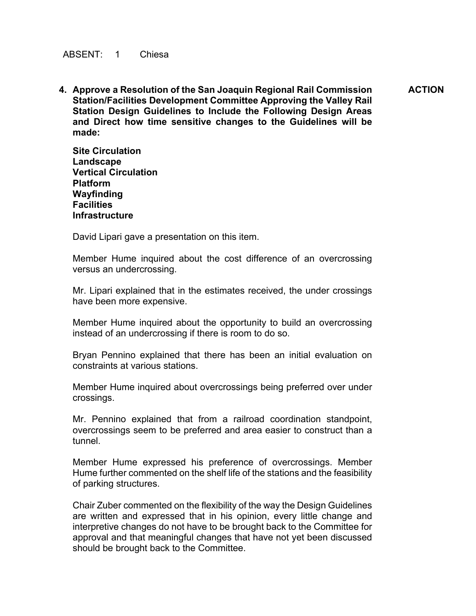ABSENT: 1 Chiesa

**4. Approve a Resolution of the San Joaquin Regional Rail Commission Station/Facilities Development Committee Approving the Valley Rail Station Design Guidelines to Include the Following Design Areas and Direct how time sensitive changes to the Guidelines will be made: ACTION**

**Site Circulation Landscape Vertical Circulation Platform Wayfinding Facilities Infrastructure**

David Lipari gave a presentation on this item.

Member Hume inquired about the cost difference of an overcrossing versus an undercrossing.

Mr. Lipari explained that in the estimates received, the under crossings have been more expensive.

Member Hume inquired about the opportunity to build an overcrossing instead of an undercrossing if there is room to do so.

Bryan Pennino explained that there has been an initial evaluation on constraints at various stations.

Member Hume inquired about overcrossings being preferred over under crossings.

Mr. Pennino explained that from a railroad coordination standpoint, overcrossings seem to be preferred and area easier to construct than a tunnel.

Member Hume expressed his preference of overcrossings. Member Hume further commented on the shelf life of the stations and the feasibility of parking structures.

Chair Zuber commented on the flexibility of the way the Design Guidelines are written and expressed that in his opinion, every little change and interpretive changes do not have to be brought back to the Committee for approval and that meaningful changes that have not yet been discussed should be brought back to the Committee.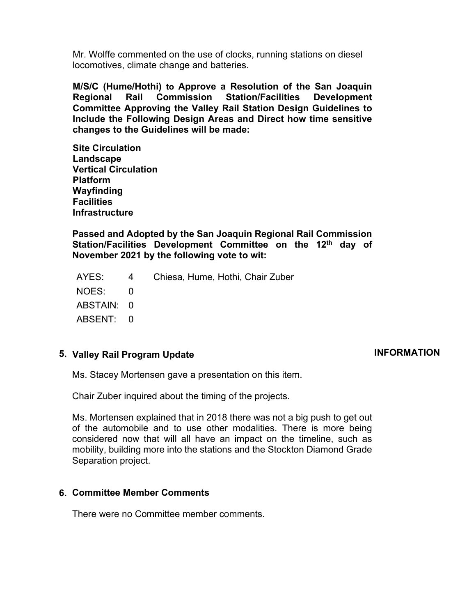Mr. Wolffe commented on the use of clocks, running stations on diesel locomotives, climate change and batteries.

**M/S/C (Hume/Hothi) to Approve a Resolution of the San Joaquin Regional Rail Commission Station/Facilities Development Committee Approving the Valley Rail Station Design Guidelines to Include the Following Design Areas and Direct how time sensitive changes to the Guidelines will be made:**

**Site Circulation Landscape Vertical Circulation Platform Wayfinding Facilities Infrastructure**

**Passed and Adopted by the San Joaquin Regional Rail Commission Station/Facilities Development Committee on the 12th day of November 2021 by the following vote to wit:**

|            | AYES: 4 Chiesa, Hume, Hothi, Chair Zuber |
|------------|------------------------------------------|
| NOES: 0    |                                          |
| ABSTAIN: 0 |                                          |
| ABSENT: 0  |                                          |

### **5. Valley Rail Program Update**

#### **INFORMATION**

Ms. Stacey Mortensen gave a presentation on this item.

Chair Zuber inquired about the timing of the projects.

Ms. Mortensen explained that in 2018 there was not a big push to get out of the automobile and to use other modalities. There is more being considered now that will all have an impact on the timeline, such as mobility, building more into the stations and the Stockton Diamond Grade Separation project.

### **6. Committee Member Comments**

There were no Committee member comments.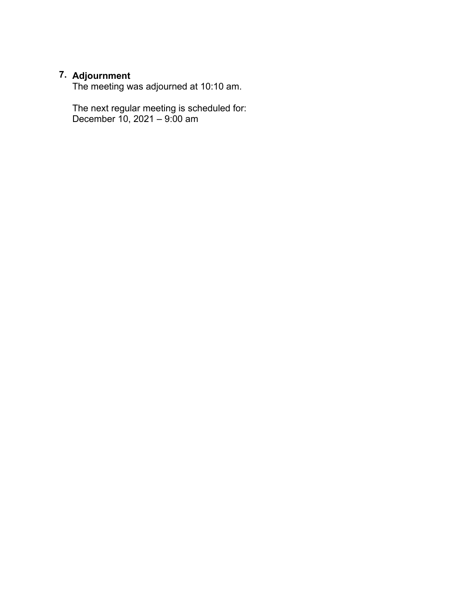### **7. Adjournment**

The meeting was adjourned at 10:10 am.

The next regular meeting is scheduled for: December 10, 2021 – 9:00 am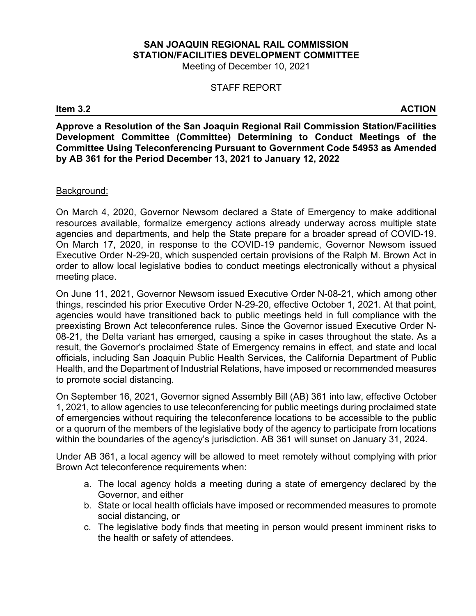Meeting of December 10, 2021

#### STAFF REPORT

#### **Item 3.2 ACTION**

**Approve a Resolution of the San Joaquin Regional Rail Commission Station/Facilities Development Committee (Committee) Determining to Conduct Meetings of the Committee Using Teleconferencing Pursuant to Government Code 54953 as Amended by AB 361 for the Period December 13, 2021 to January 12, 2022** 

#### Background:

On March 4, 2020, Governor Newsom declared a State of Emergency to make additional resources available, formalize emergency actions already underway across multiple state agencies and departments, and help the State prepare for a broader spread of COVID-19. On March 17, 2020, in response to the COVID-19 pandemic, Governor Newsom issued Executive Order N-29-20, which suspended certain provisions of the Ralph M. Brown Act in order to allow local legislative bodies to conduct meetings electronically without a physical meeting place.

On June 11, 2021, Governor Newsom issued Executive Order N-08-21, which among other things, rescinded his prior Executive Order N-29-20, effective October 1, 2021. At that point, agencies would have transitioned back to public meetings held in full compliance with the preexisting Brown Act teleconference rules. Since the Governor issued Executive Order N-08-21, the Delta variant has emerged, causing a spike in cases throughout the state. As a result, the Governor's proclaimed State of Emergency remains in effect, and state and local officials, including San Joaquin Public Health Services, the California Department of Public Health, and the Department of Industrial Relations, have imposed or recommended measures to promote social distancing.

On September 16, 2021, Governor signed Assembly Bill (AB) 361 into law, effective October 1, 2021, to allow agencies to use teleconferencing for public meetings during proclaimed state of emergencies without requiring the teleconference locations to be accessible to the public or a quorum of the members of the legislative body of the agency to participate from locations within the boundaries of the agency's jurisdiction. AB 361 will sunset on January 31, 2024.

Under AB 361, a local agency will be allowed to meet remotely without complying with prior Brown Act teleconference requirements when:

- a. The local agency holds a meeting during a state of emergency declared by the Governor, and either
- b. State or local health officials have imposed or recommended measures to promote social distancing, or
- c. The legislative body finds that meeting in person would present imminent risks to the health or safety of attendees.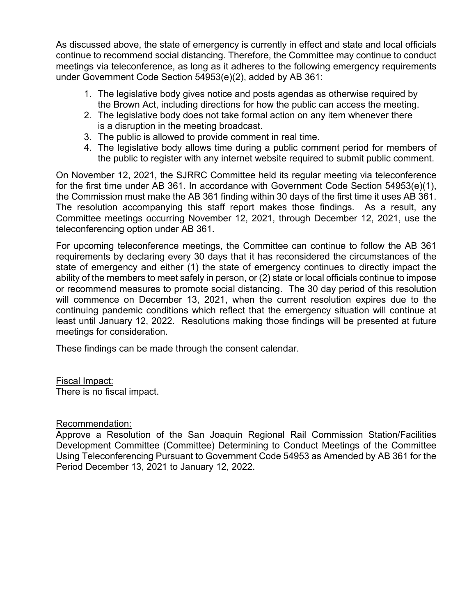As discussed above, the state of emergency is currently in effect and state and local officials continue to recommend social distancing. Therefore, the Committee may continue to conduct meetings via teleconference, as long as it adheres to the following emergency requirements under Government Code Section 54953(e)(2), added by AB 361:

- 1. The legislative body gives notice and posts agendas as otherwise required by the Brown Act, including directions for how the public can access the meeting.
- 2. The legislative body does not take formal action on any item whenever there is a disruption in the meeting broadcast.
- 3. The public is allowed to provide comment in real time.
- 4. The legislative body allows time during a public comment period for members of the public to register with any internet website required to submit public comment.

On November 12, 2021, the SJRRC Committee held its regular meeting via teleconference for the first time under AB 361. In accordance with Government Code Section 54953(e)(1), the Commission must make the AB 361 finding within 30 days of the first time it uses AB 361. The resolution accompanying this staff report makes those findings. As a result, any Committee meetings occurring November 12, 2021, through December 12, 2021, use the teleconferencing option under AB 361.

For upcoming teleconference meetings, the Committee can continue to follow the AB 361 requirements by declaring every 30 days that it has reconsidered the circumstances of the state of emergency and either (1) the state of emergency continues to directly impact the ability of the members to meet safely in person, or (2) state or local officials continue to impose or recommend measures to promote social distancing. The 30 day period of this resolution will commence on December 13, 2021, when the current resolution expires due to the continuing pandemic conditions which reflect that the emergency situation will continue at least until January 12, 2022. Resolutions making those findings will be presented at future meetings for consideration.

These findings can be made through the consent calendar.

Fiscal Impact: There is no fiscal impact.

#### Recommendation:

Approve a Resolution of the San Joaquin Regional Rail Commission Station/Facilities Development Committee (Committee) Determining to Conduct Meetings of the Committee Using Teleconferencing Pursuant to Government Code 54953 as Amended by AB 361 for the Period December 13, 2021 to January 12, 2022.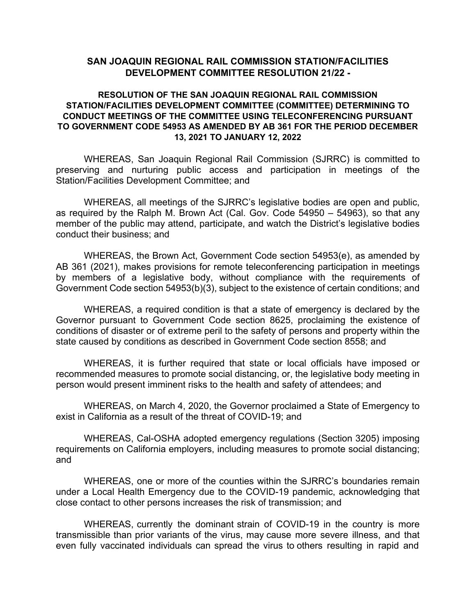#### **SAN JOAQUIN REGIONAL RAIL COMMISSION STATION/FACILITIES DEVELOPMENT COMMITTEE RESOLUTION 21/22 -**

#### **RESOLUTION OF THE SAN JOAQUIN REGIONAL RAIL COMMISSION STATION/FACILITIES DEVELOPMENT COMMITTEE (COMMITTEE) DETERMINING TO CONDUCT MEETINGS OF THE COMMITTEE USING TELECONFERENCING PURSUANT TO GOVERNMENT CODE 54953 AS AMENDED BY AB 361 FOR THE PERIOD DECEMBER 13, 2021 TO JANUARY 12, 2022**

WHEREAS, San Joaquin Regional Rail Commission (SJRRC) is committed to preserving and nurturing public access and participation in meetings of the Station/Facilities Development Committee; and

WHEREAS, all meetings of the SJRRC's legislative bodies are open and public, as required by the Ralph M. Brown Act (Cal. Gov. Code 54950 – 54963), so that any member of the public may attend, participate, and watch the District's legislative bodies conduct their business; and

WHEREAS, the Brown Act, Government Code section 54953(e), as amended by AB 361 (2021), makes provisions for remote teleconferencing participation in meetings by members of a legislative body, without compliance with the requirements of Government Code section 54953(b)(3), subject to the existence of certain conditions; and

WHEREAS, a required condition is that a state of emergency is declared by the Governor pursuant to Government Code section 8625, proclaiming the existence of conditions of disaster or of extreme peril to the safety of persons and property within the state caused by conditions as described in Government Code section 8558; and

WHEREAS, it is further required that state or local officials have imposed or recommended measures to promote social distancing, or, the legislative body meeting in person would present imminent risks to the health and safety of attendees; and

WHEREAS, on March 4, 2020, the Governor proclaimed a State of Emergency to exist in California as a result of the threat of COVID-19; and

WHEREAS, Cal-OSHA adopted emergency regulations (Section 3205) imposing requirements on California employers, including measures to promote social distancing; and

WHEREAS, one or more of the counties within the SJRRC's boundaries remain under a Local Health Emergency due to the COVID-19 pandemic, acknowledging that close contact to other persons increases the risk of transmission; and

WHEREAS, currently the dominant strain of COVID-19 in the country is more transmissible than prior variants of the virus, may cause more severe illness, and that even fully vaccinated individuals can spread the virus to others resulting in rapid and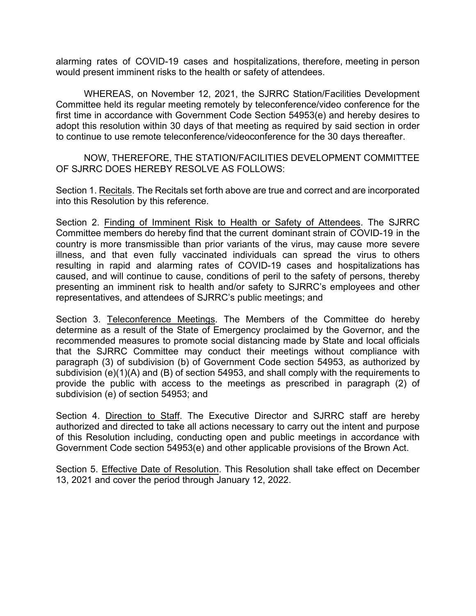alarming rates of COVID-19 cases and hospitalizations, therefore, meeting in person would present imminent risks to the health or safety of attendees.

WHEREAS, on November 12, 2021, the SJRRC Station/Facilities Development Committee held its regular meeting remotely by teleconference/video conference for the first time in accordance with Government Code Section 54953(e) and hereby desires to adopt this resolution within 30 days of that meeting as required by said section in order to continue to use remote teleconference/videoconference for the 30 days thereafter.

NOW, THEREFORE, THE STATION/FACILITIES DEVELOPMENT COMMITTEE OF SJRRC DOES HEREBY RESOLVE AS FOLLOWS:

Section 1. Recitals. The Recitals set forth above are true and correct and are incorporated into this Resolution by this reference.

Section 2. Finding of Imminent Risk to Health or Safety of Attendees. The SJRRC Committee members do hereby find that the current dominant strain of COVID-19 in the country is more transmissible than prior variants of the virus, may cause more severe illness, and that even fully vaccinated individuals can spread the virus to others resulting in rapid and alarming rates of COVID-19 cases and hospitalizations has caused, and will continue to cause, conditions of peril to the safety of persons, thereby presenting an imminent risk to health and/or safety to SJRRC's employees and other representatives, and attendees of SJRRC's public meetings; and

Section 3. Teleconference Meetings. The Members of the Committee do hereby determine as a result of the State of Emergency proclaimed by the Governor, and the recommended measures to promote social distancing made by State and local officials that the SJRRC Committee may conduct their meetings without compliance with paragraph (3) of subdivision (b) of Government Code section 54953, as authorized by subdivision (e)(1)(A) and (B) of section 54953, and shall comply with the requirements to provide the public with access to the meetings as prescribed in paragraph (2) of subdivision (e) of section 54953; and

Section 4. Direction to Staff. The Executive Director and SJRRC staff are hereby authorized and directed to take all actions necessary to carry out the intent and purpose of this Resolution including, conducting open and public meetings in accordance with Government Code section 54953(e) and other applicable provisions of the Brown Act.

Section 5. Effective Date of Resolution. This Resolution shall take effect on December 13, 2021 and cover the period through January 12, 2022.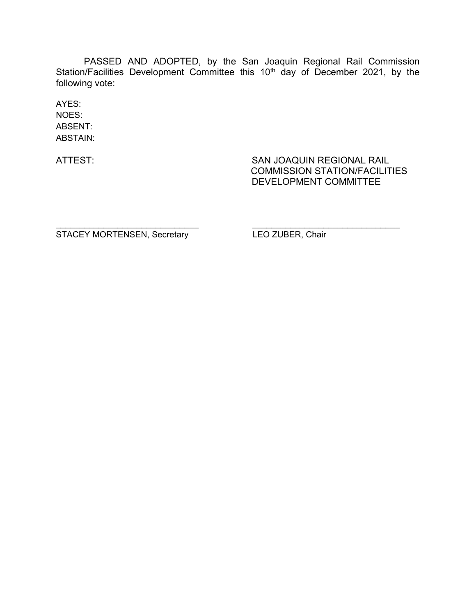PASSED AND ADOPTED, by the San Joaquin Regional Rail Commission Station/Facilities Development Committee this 10<sup>th</sup> day of December 2021, by the following vote:

\_\_\_\_\_\_\_\_\_\_\_\_\_\_\_\_\_\_\_\_\_\_\_\_\_\_\_\_\_\_ \_\_\_\_\_\_\_\_\_\_\_\_\_\_\_\_\_\_\_\_\_\_\_\_\_\_\_\_\_\_\_

AYES: NOES: ABSENT: ABSTAIN:

ATTEST: SAN JOAQUIN REGIONAL RAIL COMMISSION STATION/FACILITIES DEVELOPMENT COMMITTEE

STACEY MORTENSEN, Secretary LEO ZUBER, Chair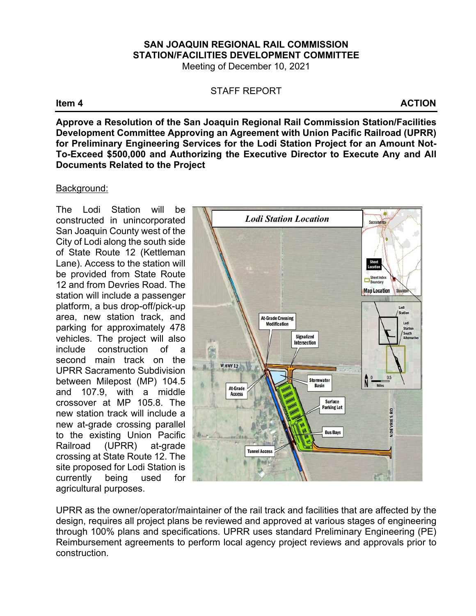Meeting of December 10, 2021

#### STAFF REPORT

**Item 4** ACTION

**Approve a Resolution of the San Joaquin Regional Rail Commission Station/Facilities Development Committee Approving an Agreement with Union Pacific Railroad (UPRR) for Preliminary Engineering Services for the Lodi Station Project for an Amount Not-To-Exceed \$500,000 and Authorizing the Executive Director to Execute Any and All Documents Related to the Project**

#### Background:

The Lodi Station will be constructed in unincorporated San Joaquin County west of the City of Lodi along the south side of State Route 12 (Kettleman Lane). Access to the station will be provided from State Route 12 and from Devries Road. The station will include a passenger platform, a bus drop-off/pick-up area, new station track, and parking for approximately 478 vehicles. The project will also include construction of a second main track on the UPRR Sacramento Subdivision between Milepost (MP) 104.5 and 107.9, with a middle crossover at MP 105.8. The new station track will include a new at-grade crossing parallel to the existing Union Pacific Railroad (UPRR) at-grade crossing at State Route 12. The site proposed for Lodi Station is currently being used for agricultural purposes.



UPRR as the owner/operator/maintainer of the rail track and facilities that are affected by the design, requires all project plans be reviewed and approved at various stages of engineering through 100% plans and specifications. UPRR uses standard Preliminary Engineering (PE) Reimbursement agreements to perform local agency project reviews and approvals prior to construction.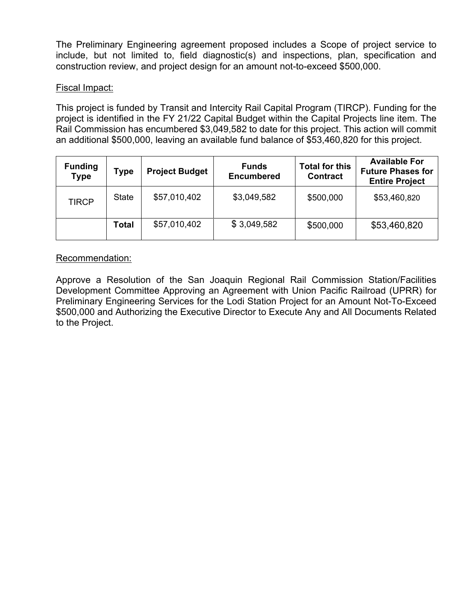The Preliminary Engineering agreement proposed includes a Scope of project service to include, but not limited to, field diagnostic(s) and inspections, plan, specification and construction review, and project design for an amount not-to-exceed \$500,000.

### Fiscal Impact:

This project is funded by Transit and Intercity Rail Capital Program (TIRCP). Funding for the project is identified in the FY 21/22 Capital Budget within the Capital Projects line item. The Rail Commission has encumbered \$3,049,582 to date for this project. This action will commit an additional \$500,000, leaving an available fund balance of \$53,460,820 for this project.

| <b>Funding</b><br><b>Type</b> | Type         | <b>Project Budget</b> | <b>Funds</b><br><b>Encumbered</b> | <b>Total for this</b><br><b>Contract</b> | <b>Available For</b><br><b>Future Phases for</b><br><b>Entire Project</b> |
|-------------------------------|--------------|-----------------------|-----------------------------------|------------------------------------------|---------------------------------------------------------------------------|
| <b>TIRCP</b>                  | <b>State</b> | \$57,010,402          | \$3,049,582                       | \$500,000                                | \$53,460,820                                                              |
|                               | Total        | \$57,010,402          | \$3,049,582                       | \$500,000                                | \$53,460,820                                                              |

### Recommendation:

Approve a Resolution of the San Joaquin Regional Rail Commission Station/Facilities Development Committee Approving an Agreement with Union Pacific Railroad (UPRR) for Preliminary Engineering Services for the Lodi Station Project for an Amount Not-To-Exceed \$500,000 and Authorizing the Executive Director to Execute Any and All Documents Related to the Project.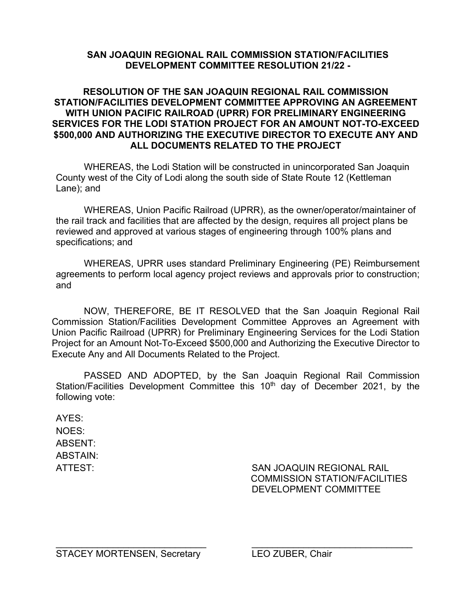#### **SAN JOAQUIN REGIONAL RAIL COMMISSION STATION/FACILITIES DEVELOPMENT COMMITTEE RESOLUTION 21/22 -**

#### **RESOLUTION OF THE SAN JOAQUIN REGIONAL RAIL COMMISSION STATION/FACILITIES DEVELOPMENT COMMITTEE APPROVING AN AGREEMENT WITH UNION PACIFIC RAILROAD (UPRR) FOR PRELIMINARY ENGINEERING SERVICES FOR THE LODI STATION PROJECT FOR AN AMOUNT NOT-TO-EXCEED \$500,000 AND AUTHORIZING THE EXECUTIVE DIRECTOR TO EXECUTE ANY AND ALL DOCUMENTS RELATED TO THE PROJECT**

WHEREAS, the Lodi Station will be constructed in unincorporated San Joaquin County west of the City of Lodi along the south side of State Route 12 (Kettleman Lane); and

WHEREAS, Union Pacific Railroad (UPRR), as the owner/operator/maintainer of the rail track and facilities that are affected by the design, requires all project plans be reviewed and approved at various stages of engineering through 100% plans and specifications; and

WHEREAS, UPRR uses standard Preliminary Engineering (PE) Reimbursement agreements to perform local agency project reviews and approvals prior to construction; and

NOW, THEREFORE, BE IT RESOLVED that the San Joaquin Regional Rail Commission Station/Facilities Development Committee Approves an Agreement with Union Pacific Railroad (UPRR) for Preliminary Engineering Services for the Lodi Station Project for an Amount Not-To-Exceed \$500,000 and Authorizing the Executive Director to Execute Any and All Documents Related to the Project.

PASSED AND ADOPTED, by the San Joaquin Regional Rail Commission Station/Facilities Development Committee this 10<sup>th</sup> day of December 2021, by the following vote:

AYES: NOES: ABSENT: ABSTAIN:

ATTEST: SAN JOAQUIN REGIONAL RAIL COMMISSION STATION/FACILITIES DEVELOPMENT COMMITTEE

STACEY MORTENSEN, Secretary LEO ZUBER, Chair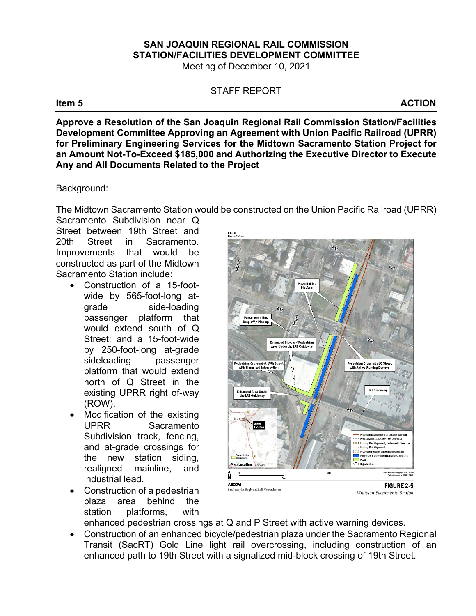Meeting of December 10, 2021

#### STAFF REPORT

**Item 5** ACTION

**Approve a Resolution of the San Joaquin Regional Rail Commission Station/Facilities Development Committee Approving an Agreement with Union Pacific Railroad (UPRR) for Preliminary Engineering Services for the Midtown Sacramento Station Project for an Amount Not-To-Exceed \$185,000 and Authorizing the Executive Director to Execute Any and All Documents Related to the Project**

#### Background:

The Midtown Sacramento Station would be constructed on the Union Pacific Railroad (UPRR)

Sacramento Subdivision near Q Street between 19th Street and 20th Street in Sacramento. Improvements that would be constructed as part of the Midtown Sacramento Station include:

- Construction of a 15-footwide by 565-foot-long atgrade side-loading passenger platform that would extend south of Q Street; and a 15-foot-wide by 250-foot-long at-grade sideloading passenger platform that would extend north of Q Street in the existing UPRR right of-way (ROW).
- Modification of the existing UPRR Sacramento Subdivision track, fencing, and at-grade crossings for the new station siding, realigned mainline, and industrial lead.
- Construction of a pedestrian plaza area behind the station platforms, with



enhanced pedestrian crossings at Q and P Street with active warning devices.

• Construction of an enhanced bicycle/pedestrian plaza under the Sacramento Regional Transit (SacRT) Gold Line light rail overcrossing, including construction of an enhanced path to 19th Street with a signalized mid-block crossing of 19th Street.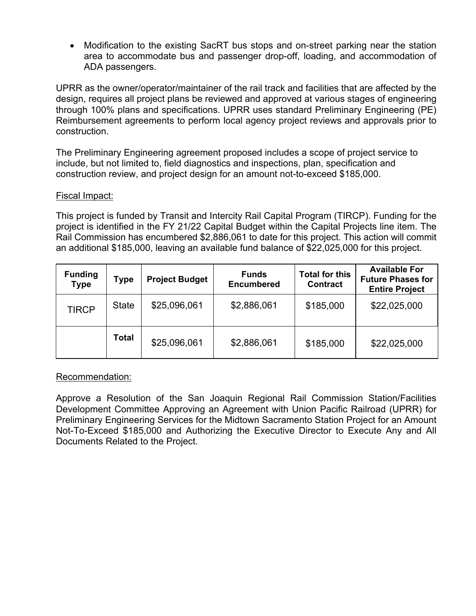• Modification to the existing SacRT bus stops and on-street parking near the station area to accommodate bus and passenger drop-off, loading, and accommodation of ADA passengers.

UPRR as the owner/operator/maintainer of the rail track and facilities that are affected by the design, requires all project plans be reviewed and approved at various stages of engineering through 100% plans and specifications. UPRR uses standard Preliminary Engineering (PE) Reimbursement agreements to perform local agency project reviews and approvals prior to construction.

The Preliminary Engineering agreement proposed includes a scope of project service to include, but not limited to, field diagnostics and inspections, plan, specification and construction review, and project design for an amount not-to-exceed \$185,000.

### Fiscal Impact:

This project is funded by Transit and Intercity Rail Capital Program (TIRCP). Funding for the project is identified in the FY 21/22 Capital Budget within the Capital Projects line item. The Rail Commission has encumbered \$2,886,061 to date for this project. This action will commit an additional \$185,000, leaving an available fund balance of \$22,025,000 for this project.

| <b>Funding</b><br><b>Type</b> | Type         | <b>Project Budget</b> | <b>Funds</b><br><b>Encumbered</b> | <b>Total for this</b><br><b>Contract</b> | <b>Available For</b><br><b>Future Phases for</b><br><b>Entire Project</b> |
|-------------------------------|--------------|-----------------------|-----------------------------------|------------------------------------------|---------------------------------------------------------------------------|
| <b>TIRCP</b>                  | <b>State</b> | \$25,096,061          | \$2,886,061                       | \$185,000                                | \$22,025,000                                                              |
|                               | <b>Total</b> | \$25,096,061          | \$2,886,061                       | \$185,000                                | \$22,025,000                                                              |

#### Recommendation:

Approve a Resolution of the San Joaquin Regional Rail Commission Station/Facilities Development Committee Approving an Agreement with Union Pacific Railroad (UPRR) for Preliminary Engineering Services for the Midtown Sacramento Station Project for an Amount Not-To-Exceed \$185,000 and Authorizing the Executive Director to Execute Any and All Documents Related to the Project.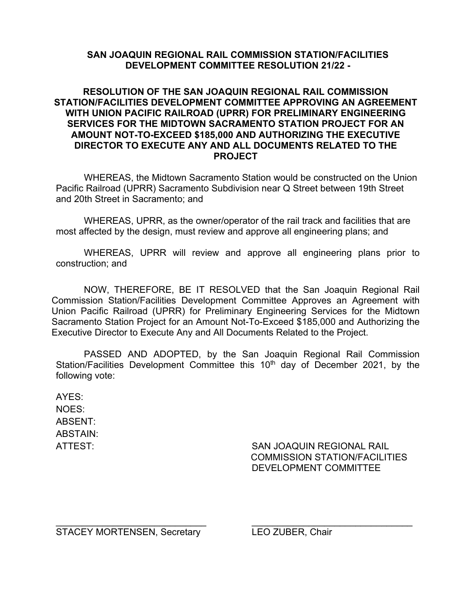#### **SAN JOAQUIN REGIONAL RAIL COMMISSION STATION/FACILITIES DEVELOPMENT COMMITTEE RESOLUTION 21/22 -**

#### **RESOLUTION OF THE SAN JOAQUIN REGIONAL RAIL COMMISSION STATION/FACILITIES DEVELOPMENT COMMITTEE APPROVING AN AGREEMENT WITH UNION PACIFIC RAILROAD (UPRR) FOR PRELIMINARY ENGINEERING SERVICES FOR THE MIDTOWN SACRAMENTO STATION PROJECT FOR AN AMOUNT NOT-TO-EXCEED \$185,000 AND AUTHORIZING THE EXECUTIVE DIRECTOR TO EXECUTE ANY AND ALL DOCUMENTS RELATED TO THE PROJECT**

WHEREAS, the Midtown Sacramento Station would be constructed on the Union Pacific Railroad (UPRR) Sacramento Subdivision near Q Street between 19th Street and 20th Street in Sacramento; and

WHEREAS, UPRR, as the owner/operator of the rail track and facilities that are most affected by the design, must review and approve all engineering plans; and

WHEREAS, UPRR will review and approve all engineering plans prior to construction; and

NOW, THEREFORE, BE IT RESOLVED that the San Joaquin Regional Rail Commission Station/Facilities Development Committee Approves an Agreement with Union Pacific Railroad (UPRR) for Preliminary Engineering Services for the Midtown Sacramento Station Project for an Amount Not-To-Exceed \$185,000 and Authorizing the Executive Director to Execute Any and All Documents Related to the Project.

PASSED AND ADOPTED, by the San Joaquin Regional Rail Commission Station/Facilities Development Committee this 10<sup>th</sup> day of December 2021, by the following vote:

AYES: NOES: ABSENT: ABSTAIN:

ATTEST: SAN JOAQUIN REGIONAL RAIL COMMISSION STATION/FACILITIES DEVELOPMENT COMMITTEE

\_\_\_\_\_\_\_\_\_\_\_\_\_\_\_\_\_\_\_\_\_\_\_\_\_\_\_\_\_ \_\_\_\_\_\_\_\_\_\_\_\_\_\_\_\_\_\_\_\_\_\_\_\_\_\_\_\_\_\_\_ STACEY MORTENSEN, Secretary LEO ZUBER, Chair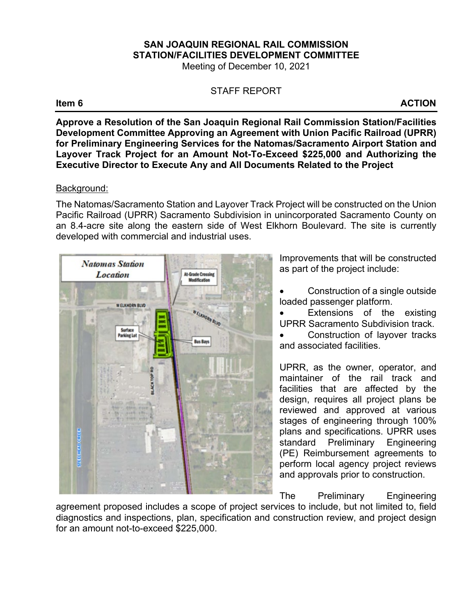Meeting of December 10, 2021

#### STAFF REPORT

**Item 6 ACTION** 

**Approve a Resolution of the San Joaquin Regional Rail Commission Station/Facilities Development Committee Approving an Agreement with Union Pacific Railroad (UPRR) for Preliminary Engineering Services for the Natomas/Sacramento Airport Station and Layover Track Project for an Amount Not-To-Exceed \$225,000 and Authorizing the Executive Director to Execute Any and All Documents Related to the Project**

#### Background:

The Natomas/Sacramento Station and Layover Track Project will be constructed on the Union Pacific Railroad (UPRR) Sacramento Subdivision in unincorporated Sacramento County on an 8.4-acre site along the eastern side of West Elkhorn Boulevard. The site is currently developed with commercial and industrial uses.



Improvements that will be constructed as part of the project include:

• Construction of a single outside loaded passenger platform.

Extensions of the existing UPRR Sacramento Subdivision track.

Construction of layover tracks and associated facilities.

UPRR, as the owner, operator, and maintainer of the rail track and facilities that are affected by the design, requires all project plans be reviewed and approved at various stages of engineering through 100% plans and specifications. UPRR uses standard Preliminary Engineering (PE) Reimbursement agreements to perform local agency project reviews and approvals prior to construction.

The Preliminary Engineering

agreement proposed includes a scope of project services to include, but not limited to, field diagnostics and inspections, plan, specification and construction review, and project design for an amount not-to-exceed \$225,000.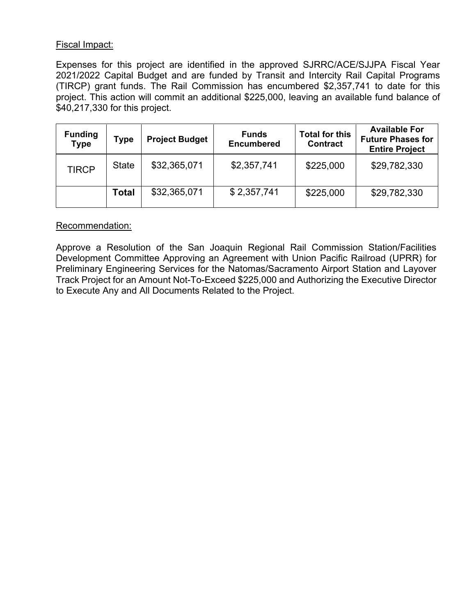### Fiscal Impact:

Expenses for this project are identified in the approved SJRRC/ACE/SJJPA Fiscal Year 2021/2022 Capital Budget and are funded by Transit and Intercity Rail Capital Programs (TIRCP) grant funds. The Rail Commission has encumbered \$2,357,741 to date for this project. This action will commit an additional \$225,000, leaving an available fund balance of \$40,217,330 for this project.

| <b>Funding</b><br><b>Type</b> | Type         | <b>Project Budget</b> | <b>Funds</b><br><b>Encumbered</b> | <b>Total for this</b><br><b>Contract</b> | <b>Available For</b><br><b>Future Phases for</b><br><b>Entire Project</b> |
|-------------------------------|--------------|-----------------------|-----------------------------------|------------------------------------------|---------------------------------------------------------------------------|
| <b>TIRCP</b>                  | <b>State</b> | \$32,365,071          | \$2,357,741                       | \$225,000                                | \$29,782,330                                                              |
|                               | Total        | \$32,365,071          | \$2,357,741                       | \$225,000                                | \$29,782,330                                                              |

#### Recommendation:

Approve a Resolution of the San Joaquin Regional Rail Commission Station/Facilities Development Committee Approving an Agreement with Union Pacific Railroad (UPRR) for Preliminary Engineering Services for the Natomas/Sacramento Airport Station and Layover Track Project for an Amount Not-To-Exceed \$225,000 and Authorizing the Executive Director to Execute Any and All Documents Related to the Project.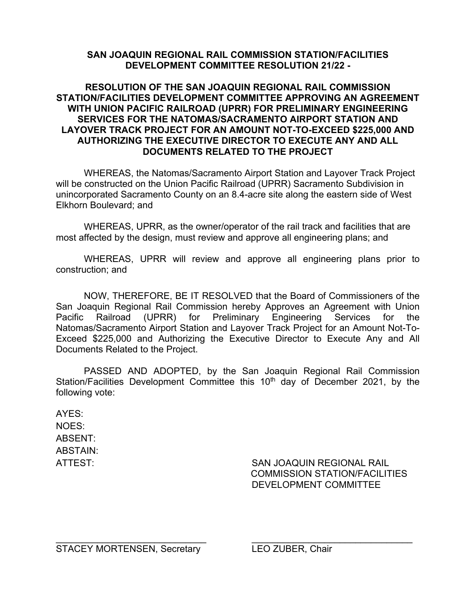#### **SAN JOAQUIN REGIONAL RAIL COMMISSION STATION/FACILITIES DEVELOPMENT COMMITTEE RESOLUTION 21/22 -**

#### **RESOLUTION OF THE SAN JOAQUIN REGIONAL RAIL COMMISSION STATION/FACILITIES DEVELOPMENT COMMITTEE APPROVING AN AGREEMENT WITH UNION PACIFIC RAILROAD (UPRR) FOR PRELIMINARY ENGINEERING SERVICES FOR THE NATOMAS/SACRAMENTO AIRPORT STATION AND LAYOVER TRACK PROJECT FOR AN AMOUNT NOT-TO-EXCEED \$225,000 AND AUTHORIZING THE EXECUTIVE DIRECTOR TO EXECUTE ANY AND ALL DOCUMENTS RELATED TO THE PROJECT**

WHEREAS, the Natomas/Sacramento Airport Station and Layover Track Project will be constructed on the Union Pacific Railroad (UPRR) Sacramento Subdivision in unincorporated Sacramento County on an 8.4-acre site along the eastern side of West Elkhorn Boulevard; and

WHEREAS, UPRR, as the owner/operator of the rail track and facilities that are most affected by the design, must review and approve all engineering plans; and

WHEREAS, UPRR will review and approve all engineering plans prior to construction; and

NOW, THEREFORE, BE IT RESOLVED that the Board of Commissioners of the San Joaquin Regional Rail Commission hereby Approves an Agreement with Union Pacific Railroad (UPRR) for Preliminary Engineering Services for the Natomas/Sacramento Airport Station and Layover Track Project for an Amount Not-To-Exceed \$225,000 and Authorizing the Executive Director to Execute Any and All Documents Related to the Project.

PASSED AND ADOPTED, by the San Joaquin Regional Rail Commission Station/Facilities Development Committee this 10<sup>th</sup> day of December 2021, by the following vote:

AYES: NOES: ABSENT: ABSTAIN:

ATTEST: SAN JOAQUIN REGIONAL RAIL COMMISSION STATION/FACILITIES DEVELOPMENT COMMITTEE

STACEY MORTENSEN, Secretary LEO ZUBER, Chair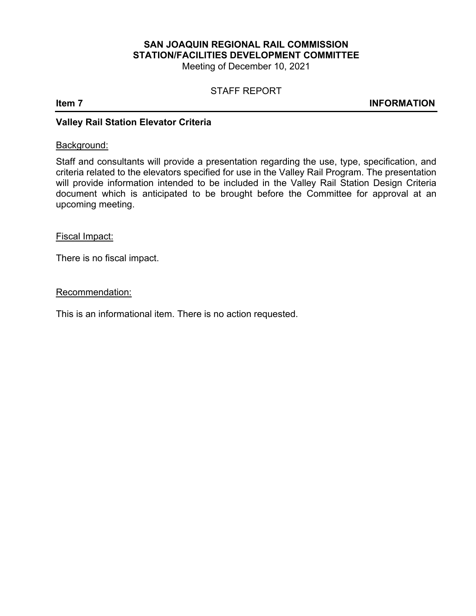Meeting of December 10, 2021

#### STAFF REPORT

**Item 7** INFORMATION

#### **Valley Rail Station Elevator Criteria**

#### Background:

Staff and consultants will provide a presentation regarding the use, type, specification, and criteria related to the elevators specified for use in the Valley Rail Program. The presentation will provide information intended to be included in the Valley Rail Station Design Criteria document which is anticipated to be brought before the Committee for approval at an upcoming meeting.

Fiscal Impact:

There is no fiscal impact.

Recommendation: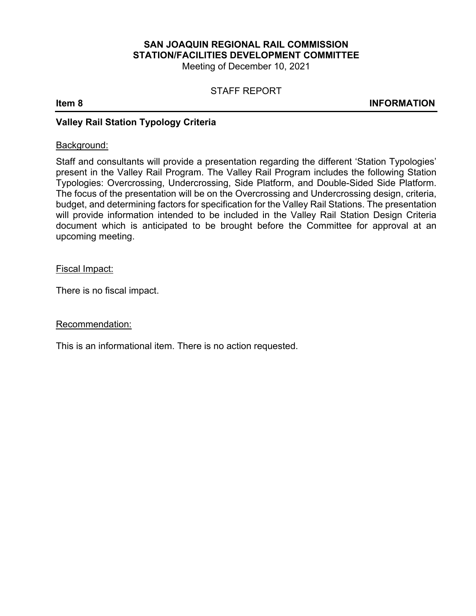Meeting of December 10, 2021

#### STAFF REPORT

**Item 8 INFORMATION**

#### **Valley Rail Station Typology Criteria**

#### Background:

Staff and consultants will provide a presentation regarding the different 'Station Typologies' present in the Valley Rail Program. The Valley Rail Program includes the following Station Typologies: Overcrossing, Undercrossing, Side Platform, and Double-Sided Side Platform. The focus of the presentation will be on the Overcrossing and Undercrossing design, criteria, budget, and determining factors for specification for the Valley Rail Stations. The presentation will provide information intended to be included in the Valley Rail Station Design Criteria document which is anticipated to be brought before the Committee for approval at an upcoming meeting.

#### Fiscal Impact:

There is no fiscal impact.

#### Recommendation: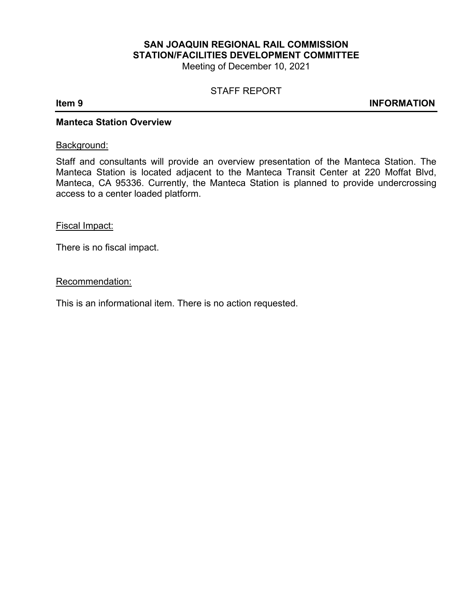Meeting of December 10, 2021

#### STAFF REPORT

**Ifem 9** INFORMATION

#### **Manteca Station Overview**

#### Background:

Staff and consultants will provide an overview presentation of the Manteca Station. The Manteca Station is located adjacent to the Manteca Transit Center at 220 Moffat Blvd, Manteca, CA 95336. Currently, the Manteca Station is planned to provide undercrossing access to a center loaded platform.

#### Fiscal Impact:

There is no fiscal impact.

#### Recommendation: